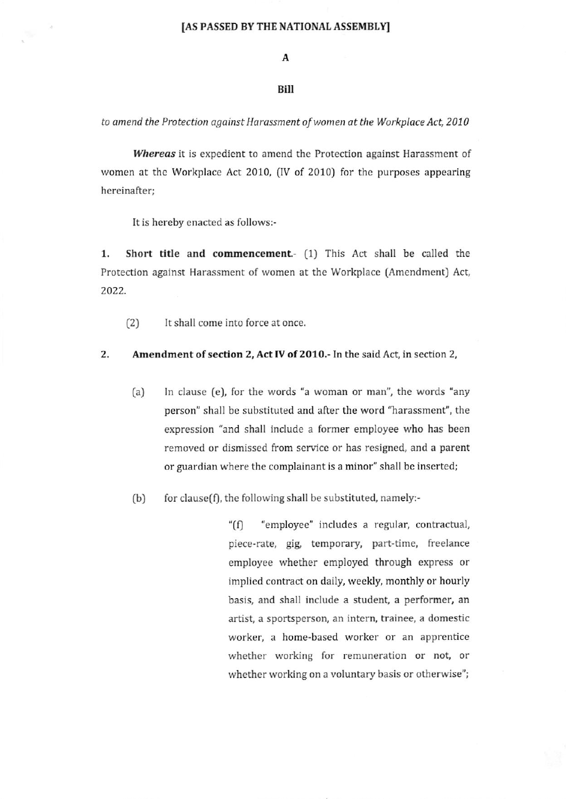$\mathbf{A}$ 

## Bill

to amend the Protection against Harassment of women at the Workplace Act, 2010

Whereas it is expedient to amend the Protection against Harassment of women at the Workplace Act 2010, (IV of 2010) for the purposes appearing hereinafter;

It is hereby enacted as follows:-

 $\mathcal{A}$ 

1. Short title and commencement.  $(1)$  This Act shall be called the Protection against Harassment of women at the Workplace (Amendment) Act, 2022.

(2) lt shall come into force at once

### 2. Amendment of section 2, Act IV of 2010,- In the said Act, in section 2,

- (a) In clause (e), for the words "a woman or man", the words "any person" shall be substituted and after the word "harassment", the expression "and shall include a former employee who has been removed or dismissed from service or has resigned, and a parent or guardian where the complainant is a minor" shall be inserted;
- $(b)$  for clause(f), the following shall be substituted, namely:-

"(f) "employee" includes a regular, contractual, piece-rate, gig, temporary, part-time, freelance employee whether employed through express or implied contract on daily, weekly, monthly or hourly basis, and shall include a student, a performer, an artist, a sportspcrson, an intern, trainee, a domestic worker, a home-based worker or an apprentice whether working for remuneration or not, or whether working on a voluntary basis or otherwise";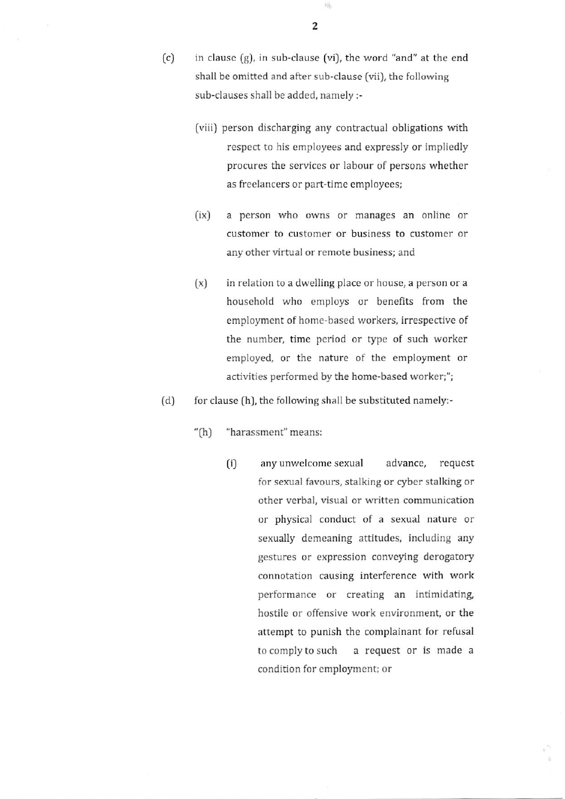$(c)$ in clause (g), in sub-clause (vi), the word "and" at the end shall be omitted and after sub-clause (vii), the following sub-clauses shall be added, namely:-

- (viii) person discharging any contractual obligations with respect to his employees and expressly or impliedly procures the services or labour of persons whether as freelancers or part-time employees;
- (ix) a person who owns or manages an online or customcr to customer or business to customer or any other virtual or remote business; and
- $[x]$  in relation to a dwelling place or house, a person or a houschold who employs or benefits from the employment of home-based workers, irrespective of the number, time period or type of such worker employed, or the nature of the employment or activities performed by the home-based worker;";
- $(d)$ for clause (h), the following shall be substituted namely:-
	- "(h) "harassment" means:
		- ti) any unwclcome sexual advance, request for sexual favours, stalking or cyber stalking or other verbal, visual or written communication or physical conduct of a sexual nafure or sexually demeaning attitudes, including any gestures or expression conveying derogatory connotation causing interference with work performance or creating an intimidating, hostile or offensive work environment, or the attempt to punish the complainant for refusal tocomplytosuch a request or is made <sup>a</sup> condition for employment; or

陆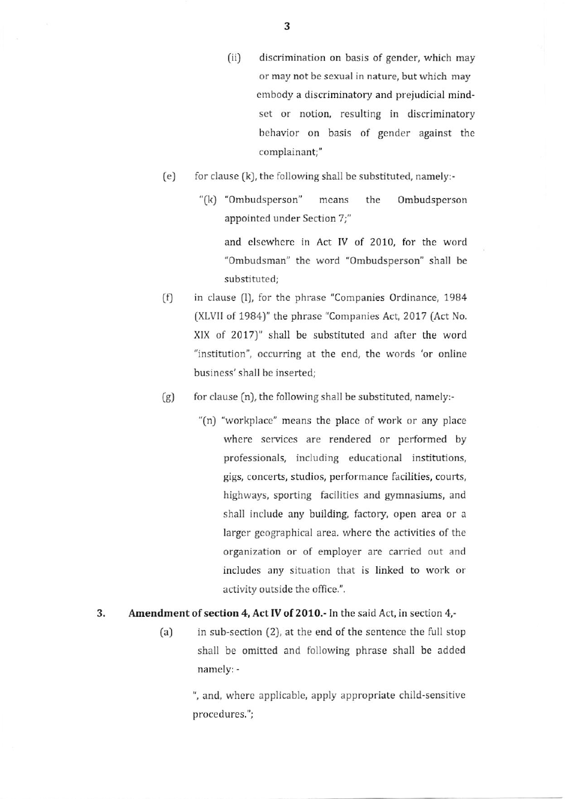- (ii) discrimination on basis of gender, which may or may not be sexual in nature, but which may cmbody a discriminatory and prejudicial mindset or notion, resulting in discriminatory behavior on basis of gender against the complainant;"
- (e) for clause  $(k)$ , the following shall be substituted, namely:-
	- "(k) "Ombudsperson" means the Ombudsperson appointed under Section 7;" and elscwhere in Act IV of 2010, for the word

"Ombudsman" the word "Ombudsperson" shall be substituted:

- (f) in clause (l), for the phrase "Companies Ordinance, 1984 (XLVIl of 1984)" the phrase "Companies Act,2017 (Act No. XIX of 2017)" shall be substitutcd and after the word "institution", occurring at the end, the words 'or online busincss' shall be inserted;
- $(g)$  for clause  $(n)$ , the following shall be substituted, namely:-
	- "(n) "workplace" means the placc of work or any place where services are rendered or performed by professionals, including educational institutions, gigs, concerts, studios, performance facilities, courts, highways, sporting facilities and gymnasiums, and shall include any building, factory, open area or a larger geographical area. where the activities of the organization or of employer are carricd out and includes any situation that is linked to work or activity outside the office.".

#### 3. Amendment of section 4, Act IV of 2010.- In the said Act, in section 4,-

 $(a)$  in sub-section  $(2)$ , at the end of the sentence the full stop shall be omitted and following phrase shall be added namely: -

> ", and, wherc applicablc, apply appropriate child-scnsitive procedures.";

3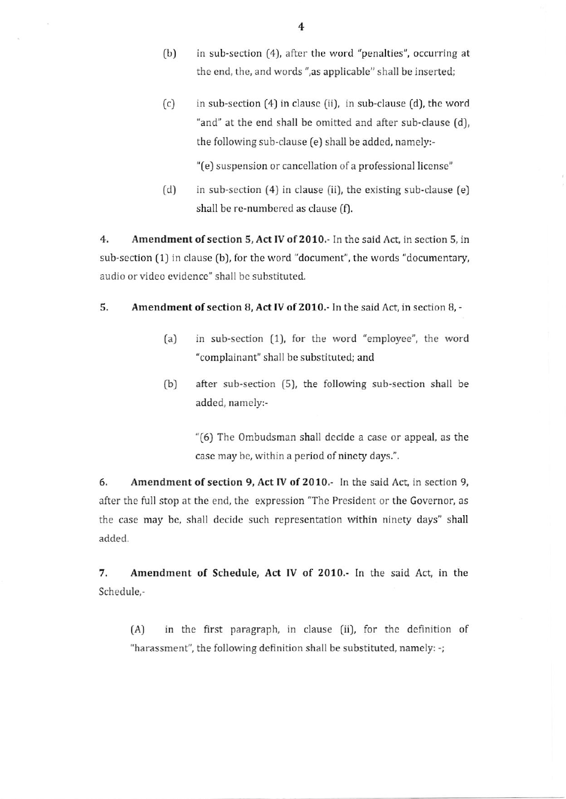- $(b)$  in sub-section  $(4)$ , after the word "penalties", occurring at the end, the, and words ",as applicable" shall be inserted;
- $(c)$  in sub-section  $(4)$  in clause  $(ii)$ , in sub-clause  $(d)$ , the word "and" at the end shall be omitted and after sub-clause (d), the following sub-clause (e) shall be added, namely:-

"(e) suspension or cancellation of a professional license"

in sub-scction (4) in clause (ii), the existing sub-clause [e) shall be re-numbered as clause (f).  $(d)$ 

4. Amendment of section 5, Act IV of 2010. In the said Act, in section 5, in sub-section (1) in clause (b), for the word "document", the words "documentary, audio or video evidence" shall be substituted.

### 5, Amendment of section B, Act IV of 2010.- In the said Act, in section 8, -

- (a) in sub-section (1), for the word "employee", the word "complainant" shall be substituted; and
- (b) after sub-section (5), the following sub-section shall be added, namely:-

"(6) The ombudsman shall decide a case or appeal, as the case may be, within a period of ninety days.".

6. Amendment of section 9, Act IV of 2010.- In the said Act, in section 9, after the full stop at the end, the expression "The President or the Governor, as the case may bc, shall dccide such representation within ninety days" shall added.

7. Amendment of Schedule, Act IV of 2010,- In the said Act, in the Schedule,-

(A) in the first paragraph, in clause (ii), for the definition of "harassment", the following definition shall be substituted, namely: -;

4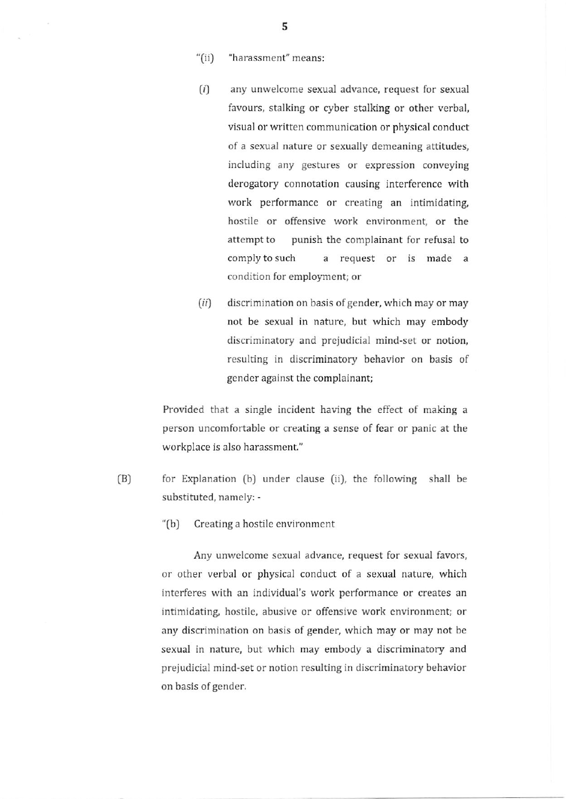- "(ii) "harassment" means:
- $(i)$  any unwelcome sexual advance, request for sexual favours, stalking or cyber stalking or other verbal, visual or written communication or physical conduct of a sexual nature or sexually demeaning attitudes, including any gestures or expression conveying derogatory connotation causing interference with work performance or creating an intimidating, hostile or offensive work environment, or the attempt to punish the complainant for refusal to complyto such a request or is made <sup>a</sup> condition for employment; or
- $(ii)$  discrimination on basis of gender, which may or may not be sexual in naturc, but which may embody discriminatory and prejudicial mind-set or notion, resulting in discriminatory behavior on basis of gender against the complainant;

Provided that a single incident having the effect of making a person uncomfortable or creating a sense of fear or panic at the workplace is also harassment."

- $(B)$ for Explanation (b) under clause (ii), the following shall be substituted, namely: -
	- "[b) Creating a hostilc cnvironment

Any unwelcome sexual advance, request for sexual favors, or other verbal or physical conduct of a sexual nature, which interferes with an individual's work pcrformance or creates an intimidating, hostile, abusive or offensive work environment; or any discrimination on basis of gender, which may or may not be sexual in nature, but which may embody a discriminatory and prejudicial mind'set or notion resulting in discriminatory behavior on basis of gender.